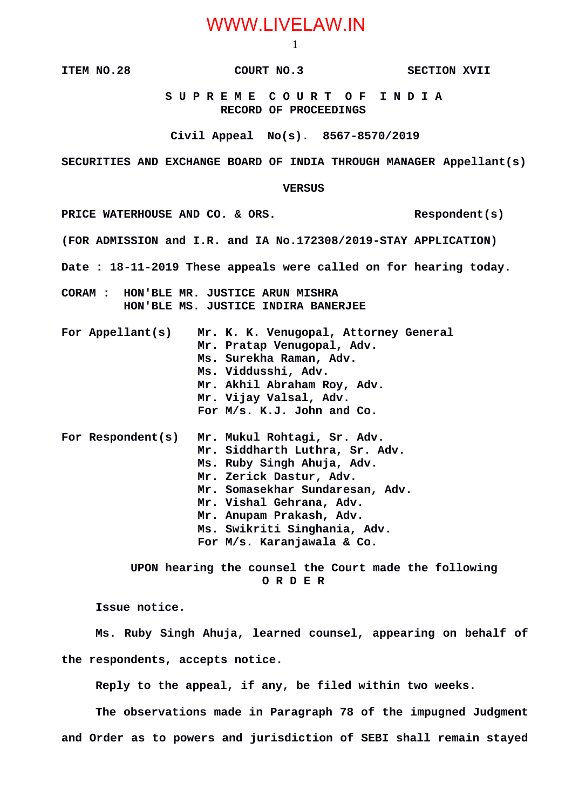## WWW.LIVELAW.IN

1

**ITEM NO.28 COURT NO.3 SECTION XVII**

 **S U P R E M E C O U R T O F I N D I A RECORD OF PROCEEDINGS**

**Civil Appeal No(s). 8567-8570/2019**

**SECURITIES AND EXCHANGE BOARD OF INDIA THROUGH MANAGER Appellant(s)**

 **VERSUS**

PRICE WATERHOUSE AND CO. & ORS. Respondent(s)

**(FOR ADMISSION and I.R. and IA No.172308/2019-STAY APPLICATION)**

**Date : 18-11-2019 These appeals were called on for hearing today.**

**CORAM : HON'BLE MR. JUSTICE ARUN MISHRA HON'BLE MS. JUSTICE INDIRA BANERJEE**

| For Appellant(s) | Mr. K. K. Venugopal, Attorney General<br>Mr. Pratap Venugopal, Adv.<br>Ms. Surekha Raman, Adv.<br>Ms. Viddusshi, Adv.<br>Mr. Akhil Abraham Roy, Adv.<br>Mr. Vijay Valsal, Adv. |
|------------------|--------------------------------------------------------------------------------------------------------------------------------------------------------------------------------|
|                  | For M/s. K.J. John and Co.                                                                                                                                                     |
|                  | For Respondent(s) Mr Mukul Rohtagi Sr Adv                                                                                                                                      |

**For Respondent(s) Mr. Mukul Rohtagi, Sr. Adv. Mr. Siddharth Luthra, Sr. Adv. Ms. Ruby Singh Ahuja, Adv. Mr. Zerick Dastur, Adv. Mr. Somasekhar Sundaresan, Adv. Mr. Vishal Gehrana, Adv. Mr. Anupam Prakash, Adv. Ms. Swikriti Singhania, Adv. For M/s. Karanjawala & Co.**

> **UPON hearing the counsel the Court made the following O R D E R**

**Issue notice.** 

**Ms. Ruby Singh Ahuja, learned counsel, appearing on behalf of the respondents, accepts notice.** 

**Reply to the appeal, if any, be filed within two weeks.** 

**The observations made in Paragraph 78 of the impugned Judgment and Order as to powers and jurisdiction of SEBI shall remain stayed**